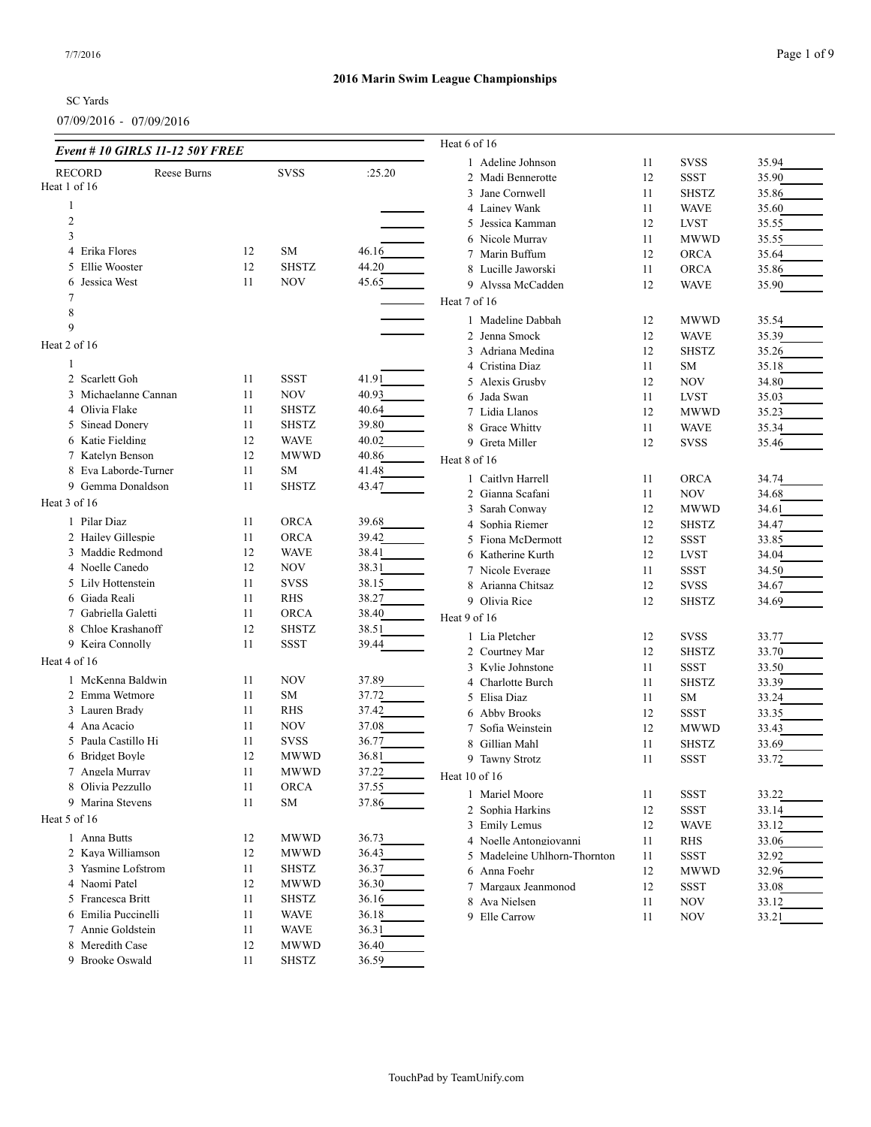07/09/2016 - 07/09/2016

| Event # 10 GIRLS 11-12 50Y FREE |    |              |        | Heat 6 of 16                 |          |              |                |
|---------------------------------|----|--------------|--------|------------------------------|----------|--------------|----------------|
| <b>RECORD</b><br>Reese Burns    |    | <b>SVSS</b>  | :25.20 | 1 Adeline Johnson            | 11       | <b>SVSS</b>  | 35.94          |
| Heat 1 of 16                    |    |              |        | 2 Madi Bennerotte            | 12       | <b>SSST</b>  | 35.90          |
|                                 |    |              |        | 3 Jane Cornwell              | 11       | <b>SHSTZ</b> | 35.86          |
| 1                               |    |              |        | 4 Lainey Wank                | 11       | <b>WAVE</b>  | 35.60          |
| $\overline{c}$                  |    |              |        | 5 Jessica Kamman             | 12       | <b>LVST</b>  | 35.55          |
| 3                               |    |              |        | 6 Nicole Murray              | 11       | <b>MWWD</b>  | 35.55          |
| 4 Erika Flores                  | 12 | SM           | 46.16  | 7 Marin Buffum               | 12       | ORCA         | 35.64          |
| 5 Ellie Wooster                 | 12 | <b>SHSTZ</b> | 44.20  | 8 Lucille Jaworski           | 11       | ORCA         | 35.86          |
| Jessica West<br>6               | 11 | <b>NOV</b>   | 45.65  | 9 Alyssa McCadden            | 12       | <b>WAVE</b>  | 35.90          |
| 7                               |    |              |        | Heat 7 of 16                 |          |              |                |
| 8                               |    |              |        | 1 Madeline Dabbah            | 12       | <b>MWWD</b>  | 35.54          |
| 9                               |    |              |        | 2 Jenna Smock                | 12       | <b>WAVE</b>  | 35.39          |
| Heat 2 of 16                    |    |              |        | 3 Adriana Medina             | 12       | <b>SHSTZ</b> | 35.26          |
| 1                               |    |              |        | 4 Cristina Diaz              | 11       | SM           | 35.18          |
| 2 Scarlett Goh                  | 11 | <b>SSST</b>  | 41.91  | 5 Alexis Grusby              | 12       | <b>NOV</b>   | 34.80          |
| 3 Michaelanne Cannan            | 11 | <b>NOV</b>   | 40.93  | 6 Jada Swan                  | 11       | <b>LVST</b>  | 35.03          |
| 4 Olivia Flake                  | 11 | <b>SHSTZ</b> | 40.64  | 7 Lidia Llanos               | 12       | <b>MWWD</b>  | 35.23          |
| 5 Sinead Donery                 | 11 | <b>SHSTZ</b> | 39.80  | 8 Grace Whitty               | 11       | <b>WAVE</b>  | 35.34          |
| 6 Katie Fielding                | 12 | <b>WAVE</b>  | 40.02  | 9 Greta Miller               | 12       | <b>SVSS</b>  | 35.46          |
| 7 Katelyn Benson                | 12 | MWWD         | 40.86  | Heat 8 of 16                 |          |              |                |
| 8 Eva Laborde-Turner            | 11 | SM           | 41.48  |                              |          |              |                |
| 9 Gemma Donaldson               | 11 | <b>SHSTZ</b> | 43.47  | 1 Caitlyn Harrell            | 11       | ORCA         | 34.74          |
| Heat 3 of 16                    |    |              |        | 2 Gianna Scafani             | 11       | <b>NOV</b>   | 34.68          |
| 1 Pilar Diaz                    |    | <b>ORCA</b>  |        | 3 Sarah Conway               | 12       | <b>MWWD</b>  | 34.61          |
|                                 | 11 |              | 39.68  | Sophia Riemer<br>4           | 12       | <b>SHSTZ</b> | 34.47          |
| 2 Hailey Gillespie              | 11 | <b>ORCA</b>  | 39.42  | 5 Fiona McDermott            | 12       | <b>SSST</b>  | 33.85          |
| 3 Maddie Redmond                | 12 | <b>WAVE</b>  | 38.41  | 6 Katherine Kurth            | 12       | <b>LVST</b>  | 34.04          |
| 4 Noelle Canedo                 | 12 | NOV          | 38.31  | 7 Nicole Everage             | 11       | <b>SSST</b>  | 34.50          |
| 5 Lily Hottenstein              | 11 | <b>SVSS</b>  | 38.15  | 8 Arianna Chitsaz            | 12       | <b>SVSS</b>  | 34.67          |
| 6 Giada Reali                   | 11 | RHS          | 38.27  | 9 Olivia Rice                | 12       | <b>SHSTZ</b> | 34.69          |
| 7 Gabriella Galetti             | 11 | <b>ORCA</b>  | 38.40  | Heat 9 of 16                 |          |              |                |
| 8 Chloe Krashanoff              | 12 | <b>SHSTZ</b> | 38.51  | 1 Lia Pletcher               | 12       | <b>SVSS</b>  | 33.77          |
| 9 Keira Connolly                | 11 | <b>SSST</b>  | 39.44  | 2 Courtney Mar               | 12       | <b>SHSTZ</b> | 33.70          |
| Heat 4 of 16                    |    |              |        | 3 Kylie Johnstone            | 11       | <b>SSST</b>  | 33.50          |
| 1 McKenna Baldwin               | 11 | <b>NOV</b>   | 37.89  | 4 Charlotte Burch            | 11       | <b>SHSTZ</b> | 33.39          |
| 2 Emma Wetmore                  | 11 | SM           | 37.72  | 5 Elisa Diaz                 | 11       | <b>SM</b>    | 33.24          |
| 3 Lauren Brady                  | 11 | RHS          | 37.42  | 6 Abby Brooks                | 12       | <b>SSST</b>  | 33.35          |
| 4 Ana Acacio                    | 11 | NOV          | 37.08  | 7 Sofia Weinstein            | 12       | <b>MWWD</b>  | 33.43          |
| 5 Paula Castillo Hi             | 11 | <b>SVSS</b>  | 36.77  | 8<br>Gillian Mahl            | 11       | <b>SHSTZ</b> | 33.69          |
| 6 Bridget Boyle                 | 12 | MWWD         | 36.81  | 9 Tawny Strotz               | 11       | SSST         | 33.72          |
| 7 Angela Murray                 | 11 | <b>MWWD</b>  | 37.22  | Heat 10 of 16                |          |              |                |
| 8 Olivia Pezzullo               | 11 | <b>ORCA</b>  | 37.55  | 1 Mariel Moore               |          | SSST         |                |
| 9 Marina Stevens                | 11 | SM           | 37.86  | 2 Sophia Harkins             | 11<br>12 | <b>SSST</b>  | 33.22<br>33.14 |
| Heat 5 of 16                    |    |              |        | 3 Emily Lemus                | 12       | <b>WAVE</b>  | 33.12          |
| 1 Anna Butts                    | 12 | MWWD         | 36.73  | 4 Noelle Antongiovanni       | 11       | <b>RHS</b>   | 33.06          |
| 2 Kaya Williamson               | 12 | <b>MWWD</b>  | 36.43  | 5 Madeleine Uhlhorn-Thornton | 11       | <b>SSST</b>  | 32.92          |
| 3 Yasmine Lofstrom              | 11 | SHSTZ        | 36.37  | 6 Anna Foehr                 | 12       | <b>MWWD</b>  | 32.96          |
| 4 Naomi Patel                   | 12 | <b>MWWD</b>  | 36.30  | 7 Margaux Jeanmonod          | 12       | SSST         | 33.08          |
| 5 Francesca Britt               | 11 | SHSTZ        | 36.16  | 8 Ava Nielsen                | 11       | <b>NOV</b>   | 33.12          |
| 6 Emilia Puccinelli             | 11 | <b>WAVE</b>  | 36.18  | 9 Elle Carrow                | 11       | <b>NOV</b>   | 33.21          |
| 7 Annie Goldstein               | 11 | <b>WAVE</b>  | 36.31  |                              |          |              |                |
| 8 Meredith Case                 | 12 | <b>MWWD</b>  | 36.40  |                              |          |              |                |
| 9 Brooke Oswald                 | 11 | <b>SHSTZ</b> | 36.59  |                              |          |              |                |
|                                 |    |              |        |                              |          |              |                |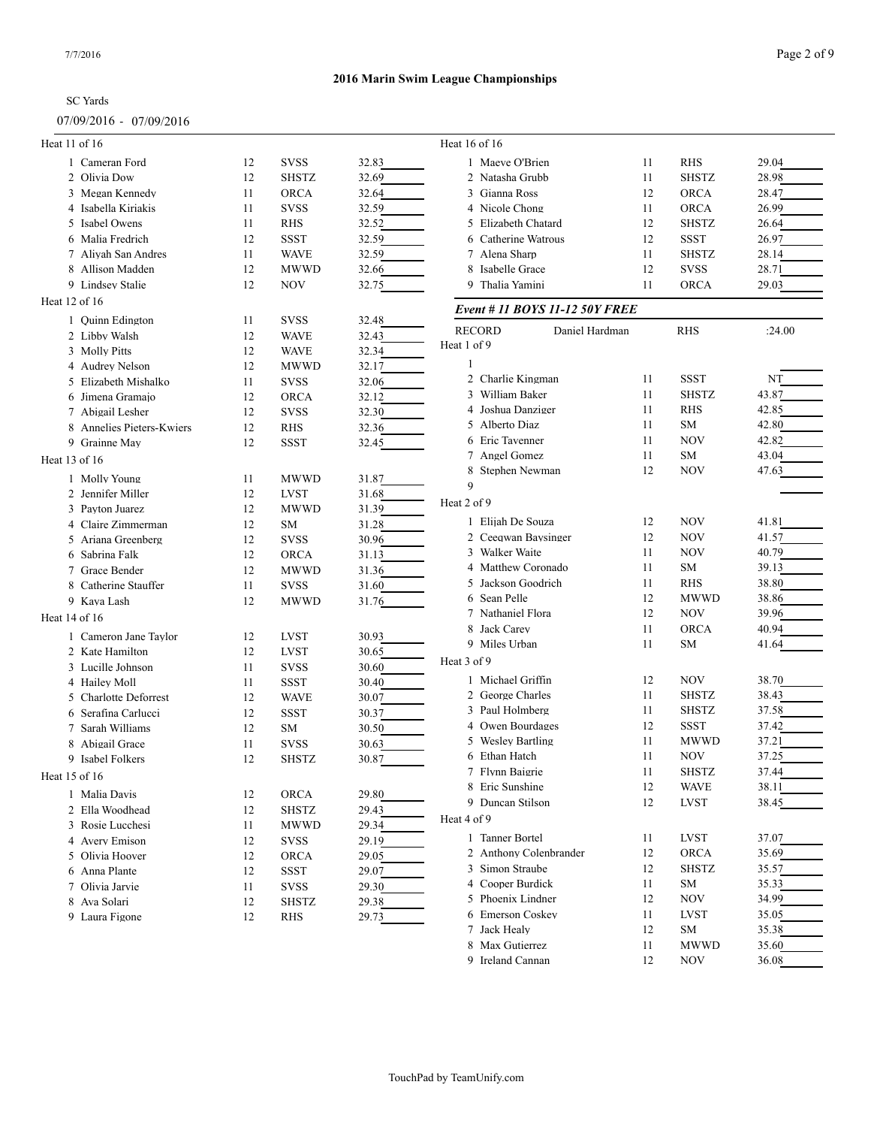## 07/09/2016 - 07/09/2016

| Heat 11 of 16 |                           |    |              |       | Heat 16 of 16                  |                |              |        |
|---------------|---------------------------|----|--------------|-------|--------------------------------|----------------|--------------|--------|
|               | 1 Cameran Ford            | 12 | <b>SVSS</b>  | 32.83 | 1 Maeve O'Brien                | 11             | <b>RHS</b>   | 29.04  |
|               | 2 Olivia Dow              | 12 | <b>SHSTZ</b> | 32.69 | 2 Natasha Grubb                | 11             | <b>SHSTZ</b> | 28.98  |
|               | 3 Megan Kennedy           | 11 | <b>ORCA</b>  | 32.64 | 3 Gianna Ross                  | 12             | <b>ORCA</b>  | 28.47  |
|               | 4 Isabella Kiriakis       | 11 | <b>SVSS</b>  | 32.59 | 4 Nicole Chong                 | 11             | <b>ORCA</b>  | 26.99  |
|               | 5 Isabel Owens            | 11 | RHS          | 32.52 | 5 Elizabeth Chatard            | 12             | <b>SHSTZ</b> | 26.64  |
|               | 6 Malia Fredrich          | 12 | SSST         | 32.59 | 6 Catherine Watrous            | 12             | <b>SSST</b>  | 26.97  |
|               | 7 Aliyah San Andres       | 11 | <b>WAVE</b>  | 32.59 | 7 Alena Sharp                  | 11             | <b>SHSTZ</b> | 28.14  |
|               | 8 Allison Madden          | 12 | <b>MWWD</b>  | 32.66 | 8 Isabelle Grace               | 12             | <b>SVSS</b>  | 28.71  |
|               | 9 Lindsey Stalie          | 12 | <b>NOV</b>   | 32.75 | 9 Thalia Yamini                | 11             | <b>ORCA</b>  | 29.03  |
| Heat 12 of 16 |                           |    |              |       |                                |                |              |        |
|               |                           |    |              |       | Event # 11 BOYS 11-12 50Y FREE |                |              |        |
|               | 1 Quinn Edington          | 11 | <b>SVSS</b>  | 32.48 | <b>RECORD</b>                  | Daniel Hardman | <b>RHS</b>   | :24.00 |
|               | 2 Libby Walsh             | 12 | <b>WAVE</b>  | 32.43 | Heat 1 of 9                    |                |              |        |
|               | 3 Molly Pitts             | 12 | <b>WAVE</b>  | 32.34 |                                |                |              |        |
|               | 4 Audrey Nelson           | 12 | <b>MWWD</b>  | 32.17 | 2 Charlie Kingman              |                | <b>SSST</b>  |        |
|               | 5 Elizabeth Mishalko      | 11 | <b>SVSS</b>  | 32.06 |                                | 11             |              | NT     |
|               | 6 Jimena Gramajo          | 12 | <b>ORCA</b>  | 32.12 | 3 William Baker                | 11             | <b>SHSTZ</b> | 43.87  |
|               | 7 Abigail Lesher          | 12 | <b>SVSS</b>  | 32.30 | 4 Joshua Danziger              | 11             | <b>RHS</b>   | 42.85  |
|               | 8 Annelies Pieters-Kwiers | 12 | <b>RHS</b>   | 32.36 | 5 Alberto Diaz                 | 11             | SM           | 42.80  |
|               | 9 Grainne May             | 12 | <b>SSST</b>  | 32.45 | 6 Eric Tavenner                | 11             | <b>NOV</b>   | 42.82  |
| Heat 13 of 16 |                           |    |              |       | 7 Angel Gomez                  | 11             | SM           | 43.04  |
|               | 1 Molly Young             | 11 | <b>MWWD</b>  | 31.87 | 8 Stephen Newman               | 12             | <b>NOV</b>   | 47.63  |
|               | 2 Jennifer Miller         | 12 | <b>LVST</b>  | 31.68 | 9                              |                |              |        |
|               | 3 Payton Juarez           | 12 | <b>MWWD</b>  | 31.39 | Heat 2 of 9                    |                |              |        |
| 4             | Claire Zimmerman          | 12 | <b>SM</b>    | 31.28 | 1 Elijah De Souza              | 12             | <b>NOV</b>   | 41.81  |
|               | 5 Ariana Greenberg        | 12 | <b>SVSS</b>  | 30.96 | 2 Ceeqwan Baysinger            | 12             | <b>NOV</b>   | 41.57  |
|               | 6 Sabrina Falk            | 12 | <b>ORCA</b>  | 31.13 | 3 Walker Waite                 | 11             | <b>NOV</b>   | 40.79  |
|               | 7 Grace Bender            | 12 | <b>MWWD</b>  | 31.36 | 4 Matthew Coronado             | 11             | SM           | 39.13  |
|               | 8 Catherine Stauffer      | 11 | <b>SVSS</b>  | 31.60 | 5 Jackson Goodrich             | 11             | <b>RHS</b>   | 38.80  |
|               | 9 Kaya Lash               | 12 | <b>MWWD</b>  | 31.76 | 6 Sean Pelle                   | 12             | <b>MWWD</b>  | 38.86  |
| Heat 14 of 16 |                           |    |              |       | 7 Nathaniel Flora              | 12             | <b>NOV</b>   | 39.96  |
|               |                           |    |              |       | 8 Jack Carey                   | 11             | <b>ORCA</b>  | 40.94  |
|               | 1 Cameron Jane Taylor     | 12 | <b>LVST</b>  | 30.93 | 9 Miles Urban                  | 11             | SM           | 41.64  |
|               | 2 Kate Hamilton           | 12 | <b>LVST</b>  | 30.65 | Heat 3 of 9                    |                |              |        |
|               | 3 Lucille Johnson         | 11 | <b>SVSS</b>  | 30.60 |                                |                |              |        |
|               | 4 Hailey Moll             | 11 | <b>SSST</b>  | 30.40 | 1 Michael Griffin              | 12             | <b>NOV</b>   | 38.70  |
|               | 5 Charlotte Deforrest     | 12 | <b>WAVE</b>  | 30.07 | 2 George Charles               | 11             | <b>SHSTZ</b> | 38.43  |
|               | Serafina Carlucci         | 12 | SSST         | 30.37 | 3 Paul Holmberg                | 11             | <b>SHSTZ</b> | 37.58  |
| 7             | Sarah Williams            | 12 | SM           | 30.50 | 4 Owen Bourdages               | 12             | <b>SSST</b>  | 37.42  |
|               | 8 Abigail Grace           | 11 | <b>SVSS</b>  | 30.63 | 5 Wesley Bartling              | 11             | <b>MWWD</b>  | 37.21  |
|               | 9 Isabel Folkers          | 12 | <b>SHSTZ</b> | 30.87 | 6 Ethan Hatch                  | 11             | <b>NOV</b>   | 37.25  |
| Heat 15 of 16 |                           |    |              |       | 7 Flynn Baigrie                | 11             | <b>SHSTZ</b> | 37.44  |
|               | 1 Malia Davis             | 12 | ORCA         | 29.80 | 8 Eric Sunshine                | 12             | <b>WAVE</b>  | 38.11  |
|               | 2 Ella Woodhead           | 12 | SHSTZ        | 29.43 | 9 Duncan Stilson               | 12             | <b>LVST</b>  | 38.45  |
|               | 3 Rosie Lucchesi          | 11 | <b>MWWD</b>  | 29.34 | Heat 4 of 9                    |                |              |        |
|               | 4 Avery Emison            | 12 | <b>SVSS</b>  | 29.19 | 1 Tanner Bortel                | 11             | <b>LVST</b>  | 37.07  |
|               | 5 Olivia Hoover           | 12 | <b>ORCA</b>  | 29.05 | 2 Anthony Colenbrander         | 12             | ORCA         | 35.69  |
|               | 6 Anna Plante             | 12 | <b>SSST</b>  | 29.07 | 3 Simon Straube                | 12             | <b>SHSTZ</b> | 35.57  |
|               | 7 Olivia Jarvie           | 11 | <b>SVSS</b>  | 29.30 | 4 Cooper Burdick               | 11             | SM           | 35.33  |
|               | 8 Ava Solari              | 12 | SHSTZ        | 29.38 | 5 Phoenix Lindner              | 12             | NOV          | 34.99  |
|               | 9 Laura Figone            | 12 | RHS          | 29.73 | 6 Emerson Coskey               | 11             | <b>LVST</b>  | 35.05  |
|               |                           |    |              |       | 7 Jack Healy                   | 12             | SM           | 35.38  |
|               |                           |    |              |       | 8 Max Gutierrez                | 11             | <b>MWWD</b>  | 35.60  |
|               |                           |    |              |       | 9 Ireland Cannan               | 12             | <b>NOV</b>   | 36.08  |
|               |                           |    |              |       |                                |                |              |        |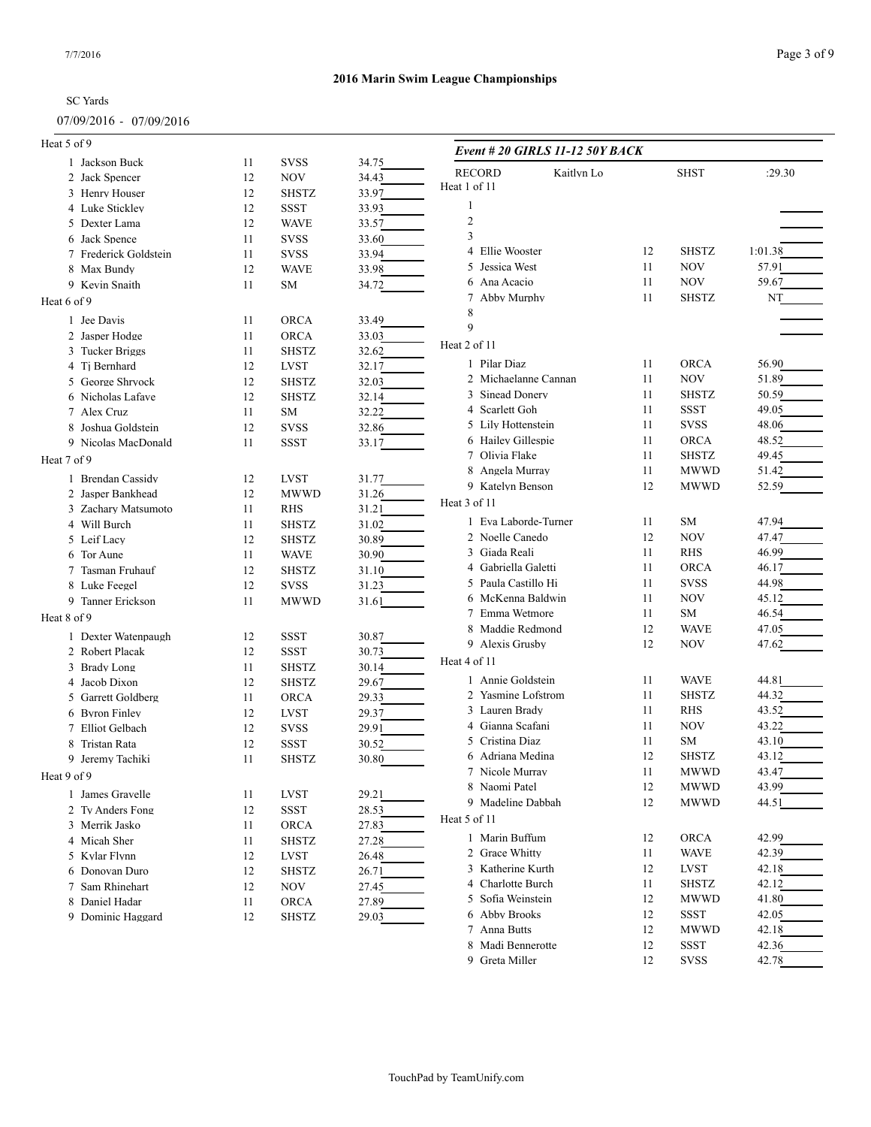### 07/09/2016 - 07/09/2016

Page 3 of 9

| Heat 5 of 9           |    |              |       | Event # 20 GIRLS 11-12 50Y BACK  |          |              |                |
|-----------------------|----|--------------|-------|----------------------------------|----------|--------------|----------------|
| 1 Jackson Buck        | 11 | <b>SVSS</b>  | 34.75 |                                  |          |              |                |
| 2 Jack Spencer        | 12 | <b>NOV</b>   | 34.43 | <b>RECORD</b><br>Kaitlyn Lo      |          | <b>SHST</b>  | :29.30         |
| 3 Henry Houser        | 12 | <b>SHSTZ</b> | 33.97 | Heat 1 of 11                     |          |              |                |
| 4 Luke Stickley       | 12 | <b>SSST</b>  | 33.93 |                                  |          |              |                |
| 5 Dexter Lama         | 12 | <b>WAVE</b>  | 33.57 | $\overline{2}$                   |          |              |                |
| 6 Jack Spence         | 11 | <b>SVSS</b>  | 33.60 | 3                                |          |              |                |
| 7 Frederick Goldstein | 11 | <b>SVSS</b>  | 33.94 | 4 Ellie Wooster                  | 12       | <b>SHSTZ</b> | 1:01.38        |
| 8 Max Bundy           | 12 | <b>WAVE</b>  | 33.98 | 5 Jessica West                   | 11       | <b>NOV</b>   | 57.91          |
| 9 Kevin Snaith        | 11 | SM           | 34.72 | 6 Ana Acacio                     | 11       | <b>NOV</b>   | 59.67          |
| Heat 6 of 9           |    |              |       | Abby Murphy<br>7                 | 11       | <b>SHSTZ</b> | NT             |
| 1 Jee Davis           | 11 | <b>ORCA</b>  | 33.49 | 8                                |          |              |                |
| 2 Jasper Hodge        | 11 | <b>ORCA</b>  | 33.03 | 9                                |          |              |                |
| 3 Tucker Briggs       | 11 | <b>SHSTZ</b> | 32.62 | Heat 2 of 11                     |          |              |                |
| 4 Ti Bernhard         | 12 | LVST         | 32.17 | 1 Pilar Diaz                     | 11       | <b>ORCA</b>  | 56.90          |
| 5 George Shryock      | 12 | <b>SHSTZ</b> | 32.03 | 2 Michaelanne Cannan             | 11       | <b>NOV</b>   | 51.89          |
|                       |    |              |       | 3 Sinead Donery                  | 11       | <b>SHSTZ</b> | 50.59          |
| 6 Nicholas Lafave     | 12 | <b>SHSTZ</b> | 32.14 | 4 Scarlett Goh                   | 11       | <b>SSST</b>  | 49.05          |
| 7 Alex Cruz           | 11 | SM           | 32.22 | 5 Lily Hottenstein               | 11       | <b>SVSS</b>  | 48.06          |
| 8 Joshua Goldstein    | 12 | <b>SVSS</b>  | 32.86 | 6 Hailey Gillespie               | 11       | <b>ORCA</b>  | 48.52          |
| 9 Nicolas MacDonald   | 11 | <b>SSST</b>  | 33.17 | 7 Olivia Flake                   | 11       | <b>SHSTZ</b> | 49.45          |
| Heat 7 of 9           |    |              |       | 8 Angela Murray                  | 11       | <b>MWWD</b>  | 51.42          |
| 1 Brendan Cassidy     | 12 | <b>LVST</b>  | 31.77 | 9 Katelyn Benson                 | 12       | <b>MWWD</b>  | 52.59          |
| 2 Jasper Bankhead     | 12 | <b>MWWD</b>  | 31.26 |                                  |          |              |                |
| 3 Zachary Matsumoto   | 11 | <b>RHS</b>   | 31.21 | Heat 3 of 11                     |          |              |                |
| 4 Will Burch          | 11 | <b>SHSTZ</b> | 31.02 | 1 Eva Laborde-Turner             | 11       | SM           | 47.94          |
| 5 Leif Lacy           | 12 | <b>SHSTZ</b> | 30.89 | 2 Noelle Canedo                  | 12       | <b>NOV</b>   | 47.47          |
| 6 Tor Aune            | 11 | <b>WAVE</b>  | 30.90 | 3 Giada Reali                    | 11       | <b>RHS</b>   | 46.99          |
| 7 Tasman Fruhauf      | 12 | <b>SHSTZ</b> | 31.10 | 4 Gabriella Galetti              | 11       | <b>ORCA</b>  | 46.17          |
| 8 Luke Feegel         | 12 | <b>SVSS</b>  | 31.23 | 5 Paula Castillo Hi              | 11       | <b>SVSS</b>  | 44.98          |
| 9 Tanner Erickson     | 11 | <b>MWWD</b>  | 31.61 | 6 McKenna Baldwin                | 11       | <b>NOV</b>   | 45.12          |
| Heat 8 of 9           |    |              |       | 7 Emma Wetmore                   | 11       | SM           | 46.54          |
|                       |    |              |       | 8 Maddie Redmond                 | 12       | <b>WAVE</b>  | 47.05          |
| 1 Dexter Watenpaugh   | 12 | <b>SSST</b>  | 30.87 | 9 Alexis Grusby                  | 12       | <b>NOV</b>   | 47.62          |
| 2 Robert Placak       | 12 | <b>SSST</b>  | 30.73 | Heat 4 of 11                     |          |              |                |
| 3 Brady Long          | 11 | <b>SHSTZ</b> | 30.14 | 1 Annie Goldstein                | 11       | <b>WAVE</b>  | 44.81          |
| 4 Jacob Dixon         | 12 | <b>SHSTZ</b> | 29.67 | 2 Yasmine Lofstrom               | 11       | <b>SHSTZ</b> | 44.32          |
| 5 Garrett Goldberg    | 11 | <b>ORCA</b>  | 29.33 | 3 Lauren Brady                   | 11       | <b>RHS</b>   | 43.52          |
| 6 Byron Finley        | 12 | <b>LVST</b>  | 29.37 | 4 Gianna Scafani                 | 11       | <b>NOV</b>   | 43.22          |
| 7 Elliot Gelbach      | 12 | <b>SVSS</b>  | 29.91 | 5 Cristina Diaz                  | 11       | SM           | 43.10          |
| 8 Tristan Rata        | 12 | <b>SSST</b>  | 30.52 | 6 Adriana Medina                 | 12       | <b>SHSTZ</b> | 43.12          |
| 9 Jeremy Tachiki      | 11 | <b>SHSTZ</b> | 30.80 |                                  |          | <b>MWWD</b>  |                |
| Heat 9 of 9           |    |              |       | 7 Nicole Murray<br>8 Naomi Patel | 11<br>12 | <b>MWWD</b>  | 43.47<br>43.99 |
| 1 James Gravelle      | 11 | <b>LVST</b>  | 29.21 |                                  |          |              |                |
| 2 Ty Anders Fong      | 12 | <b>SSST</b>  | 28.53 | 9 Madeline Dabbah                | 12       | <b>MWWD</b>  | 44.51          |
| 3 Merrik Jasko        | 11 | ORCA         | 27.83 | Heat 5 of 11                     |          |              |                |
| 4 Micah Sher          | 11 | <b>SHSTZ</b> | 27.28 | 1 Marin Buffum                   | 12       | <b>ORCA</b>  | 42.99          |
| 5 Kylar Flynn         | 12 | <b>LVST</b>  | 26.48 | 2 Grace Whitty                   | 11       | <b>WAVE</b>  | 42.39          |
| 6 Donovan Duro        | 12 | <b>SHSTZ</b> | 26.71 | 3 Katherine Kurth                | 12       | <b>LVST</b>  | 42.18          |
| 7 Sam Rhinehart       | 12 | <b>NOV</b>   | 27.45 | 4 Charlotte Burch                | 11       | <b>SHSTZ</b> | 42.12          |
| 8 Daniel Hadar        | 11 | ORCA         | 27.89 | 5 Sofia Weinstein                | 12       | <b>MWWD</b>  | 41.80          |
| 9 Dominic Haggard     | 12 | <b>SHSTZ</b> | 29.03 | 6 Abby Brooks                    | 12       | <b>SSST</b>  | 42.05          |
|                       |    |              |       | 7 Anna Butts                     | 12       | <b>MWWD</b>  | 42.18          |
|                       |    |              |       | 8 Madi Bennerotte                | 12       | <b>SSST</b>  | 42.36          |
|                       |    |              |       | 9 Greta Miller                   | 12       | <b>SVSS</b>  | 42.78          |
|                       |    |              |       |                                  |          |              |                |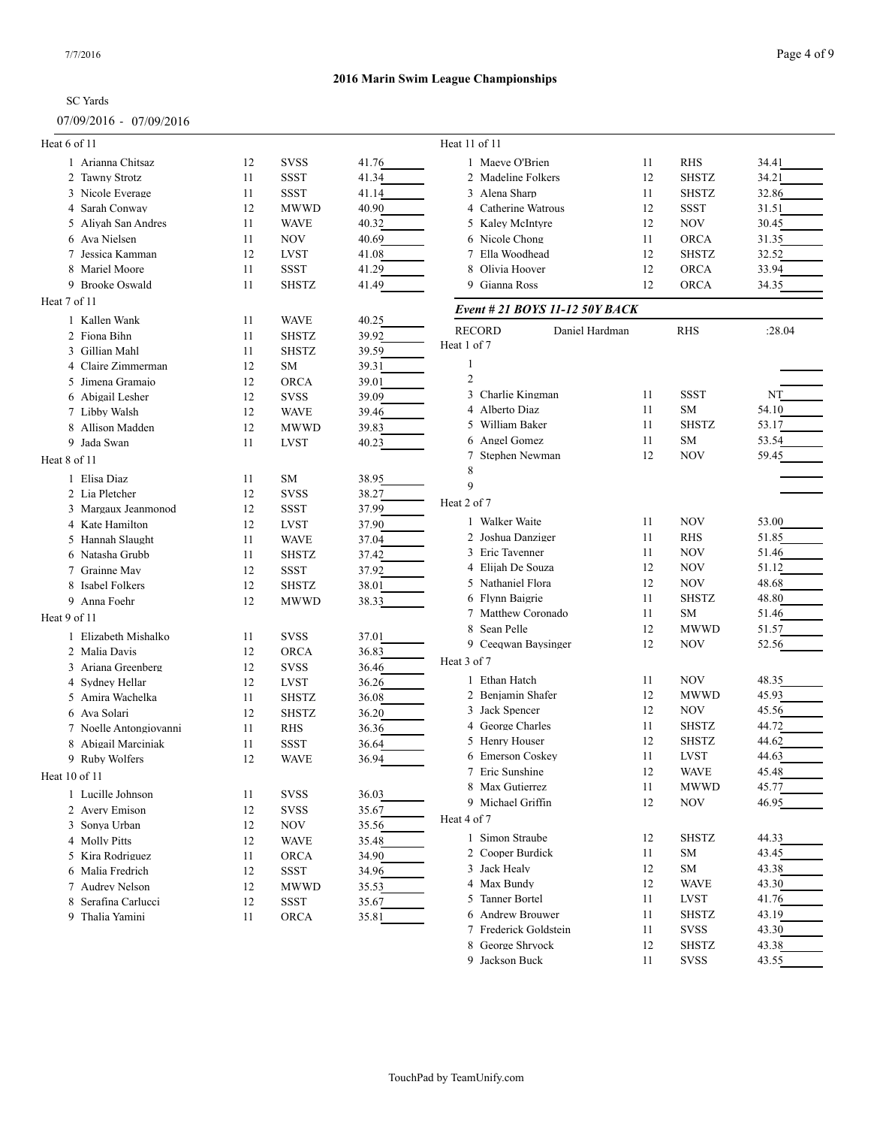## 07/09/2016 - 07/09/2016

| Heat 6 of 11  |                        |    |              |       | Heat 11 of 11                      |    |              |        |
|---------------|------------------------|----|--------------|-------|------------------------------------|----|--------------|--------|
|               | 1 Arianna Chitsaz      | 12 | <b>SVSS</b>  | 41.76 | 1 Maeve O'Brien                    | 11 | <b>RHS</b>   | 34.41  |
|               | 2 Tawny Strotz         | 11 | <b>SSST</b>  | 41.34 | 2 Madeline Folkers                 | 12 | <b>SHSTZ</b> | 34.21  |
|               | 3 Nicole Everage       | 11 | <b>SSST</b>  | 41.14 | 3 Alena Sharp                      | 11 | <b>SHSTZ</b> | 32.86  |
|               | 4 Sarah Conway         | 12 | <b>MWWD</b>  | 40.90 | 4 Catherine Watrous                | 12 | <b>SSST</b>  | 31.51  |
|               | 5 Aliyah San Andres    | 11 | <b>WAVE</b>  | 40.32 | 5 Kaley McIntyre                   | 12 | <b>NOV</b>   | 30.45  |
|               | 6 Ava Nielsen          | 11 | <b>NOV</b>   | 40.69 | 6 Nicole Chong                     | 11 | <b>ORCA</b>  | 31.35  |
|               | 7 Jessica Kamman       | 12 | <b>LVST</b>  | 41.08 | 7 Ella Woodhead                    | 12 | <b>SHSTZ</b> | 32.52  |
|               | 8 Mariel Moore         | 11 | <b>SSST</b>  | 41.29 | 8 Olivia Hoover                    | 12 | <b>ORCA</b>  | 33.94  |
|               | 9 Brooke Oswald        | 11 | <b>SHSTZ</b> | 41.49 | 9 Gianna Ross                      | 12 | <b>ORCA</b>  | 34.35  |
| Heat 7 of 11  |                        |    |              |       | Event # 21 BOYS 11-12 50Y BACK     |    |              |        |
|               | 1 Kallen Wank          | 11 | <b>WAVE</b>  | 40.25 |                                    |    |              |        |
|               | 2 Fiona Bihn           | 11 | <b>SHSTZ</b> | 39.92 | <b>RECORD</b><br>Daniel Hardman    |    | <b>RHS</b>   | :28.04 |
|               | 3 Gillian Mahl         | 11 | <b>SHSTZ</b> | 39.59 | Heat 1 of 7                        |    |              |        |
|               | 4 Claire Zimmerman     | 12 | SM           | 39.31 | 1                                  |    |              |        |
|               | 5 Jimena Gramajo       | 12 | <b>ORCA</b>  | 39.01 | $\overline{2}$                     |    |              |        |
|               | 6 Abigail Lesher       | 12 | <b>SVSS</b>  | 39.09 | 3 Charlie Kingman                  | 11 | <b>SSST</b>  | NT     |
|               | 7 Libby Walsh          | 12 | <b>WAVE</b>  | 39.46 | 4 Alberto Diaz                     | 11 | <b>SM</b>    | 54.10  |
|               | 8 Allison Madden       | 12 | <b>MWWD</b>  | 39.83 | 5 William Baker                    | 11 | <b>SHSTZ</b> | 53.17  |
|               | 9 Jada Swan            | 11 | <b>LVST</b>  | 40.23 | 6 Angel Gomez                      | 11 | <b>SM</b>    | 53.54  |
| Heat 8 of 11  |                        |    |              |       | 7 Stephen Newman                   | 12 | <b>NOV</b>   | 59.45  |
|               |                        |    |              |       | 8                                  |    |              |        |
|               | 1 Elisa Diaz           | 11 | <b>SM</b>    | 38.95 | 9                                  |    |              |        |
|               | 2 Lia Pletcher         | 12 | <b>SVSS</b>  | 38.27 | Heat 2 of 7                        |    |              |        |
|               | 3 Margaux Jeanmonod    | 12 | <b>SSST</b>  | 37.99 | 1 Walker Waite                     | 11 | <b>NOV</b>   | 53.00  |
|               | 4 Kate Hamilton        | 12 | <b>LVST</b>  | 37.90 | 2 Joshua Danziger                  | 11 | <b>RHS</b>   | 51.85  |
|               | 5 Hannah Slaught       | 11 | <b>WAVE</b>  | 37.04 | 3 Eric Tavenner                    | 11 | <b>NOV</b>   | 51.46  |
|               | 6 Natasha Grubb        | 11 | <b>SHSTZ</b> | 37.42 | 4 Elijah De Souza                  | 12 | NOV          | 51.12  |
|               | 7 Grainne May          | 12 | <b>SSST</b>  | 37.92 | 5 Nathaniel Flora                  | 12 | <b>NOV</b>   | 48.68  |
|               | 8 Isabel Folkers       | 12 | <b>SHSTZ</b> | 38.01 | 6 Flynn Baigrie                    | 11 | <b>SHSTZ</b> | 48.80  |
|               | 9 Anna Foehr           | 12 | <b>MWWD</b>  | 38.33 |                                    | 11 | <b>SM</b>    |        |
| Heat 9 of 11  |                        |    |              |       | 7 Matthew Coronado<br>8 Sean Pelle |    |              | 51.46  |
|               | 1 Elizabeth Mishalko   | 11 | <b>SVSS</b>  | 37.01 |                                    | 12 | <b>MWWD</b>  | 51.57  |
|               | 2 Malia Davis          | 12 | <b>ORCA</b>  | 36.83 | 9 Ceeqwan Baysinger                | 12 | <b>NOV</b>   | 52.56  |
|               | 3 Ariana Greenberg     | 12 | <b>SVSS</b>  | 36.46 | Heat 3 of 7                        |    |              |        |
|               | 4 Sydney Hellar        | 12 | <b>LVST</b>  | 36.26 | 1 Ethan Hatch                      | 11 | <b>NOV</b>   | 48.35  |
|               | 5 Amira Wachelka       | 11 | <b>SHSTZ</b> | 36.08 | 2 Benjamin Shafer                  | 12 | <b>MWWD</b>  | 45.93  |
|               | 6 Ava Solari           | 12 | <b>SHSTZ</b> | 36.20 | 3 Jack Spencer                     | 12 | NOV          | 45.56  |
|               | 7 Noelle Antongiovanni | 11 | RHS          | 36.36 | 4 George Charles                   | 11 | <b>SHSTZ</b> | 44.72  |
| 8             | Abigail Marciniak      | 11 | SSST         | 36.64 | 5 Henry Houser                     | 12 | <b>SHSTZ</b> | 44.62  |
|               | 9 Ruby Wolfers         | 12 | <b>WAVE</b>  | 36.94 | 6 Emerson Coskey                   | 11 | <b>LVST</b>  | 44.63  |
| Heat 10 of 11 |                        |    |              |       | 7 Eric Sunshine                    | 12 | WAVE         | 45.48  |
|               | 1 Lucille Johnson      | 11 | <b>SVSS</b>  | 36.03 | 8 Max Gutierrez                    | 11 | <b>MWWD</b>  | 45.77  |
|               | 2 Avery Emison         | 12 | <b>SVSS</b>  |       | 9 Michael Griffin                  | 12 | <b>NOV</b>   | 46.95  |
|               | 3 Sonya Urban          |    |              | 35.67 | Heat 4 of 7                        |    |              |        |
|               |                        | 12 | NOV          | 35.56 | 1 Simon Straube                    | 12 | <b>SHSTZ</b> | 44.33  |
|               | 4 Molly Pitts          | 12 | <b>WAVE</b>  | 35.48 | 2 Cooper Burdick                   | 11 | <b>SM</b>    | 43.45  |
|               | 5 Kira Rodriguez       | 11 | ORCA         | 34.90 | 3 Jack Healy                       | 12 | SM           | 43.38  |
|               | 6 Malia Fredrich       | 12 | SSST         | 34.96 | 4 Max Bundy                        |    |              |        |
|               | 7 Audrey Nelson        | 12 | <b>MWWD</b>  | 35.53 | 5 Tanner Bortel                    | 12 | <b>WAVE</b>  | 43.30  |
|               | 8 Serafina Carlucci    | 12 | <b>SSST</b>  | 35.67 |                                    | 11 | <b>LVST</b>  | 41.76  |
|               | 9 Thalia Yamini        | 11 | ORCA         | 35.81 | 6 Andrew Brouwer                   | 11 | <b>SHSTZ</b> | 43.19  |
|               |                        |    |              |       | 7 Frederick Goldstein              | 11 | <b>SVSS</b>  | 43.30  |
|               |                        |    |              |       | 8 George Shryock                   | 12 | <b>SHSTZ</b> | 43.38  |
|               |                        |    |              |       | 9 Jackson Buck                     | 11 | <b>SVSS</b>  | 43.55  |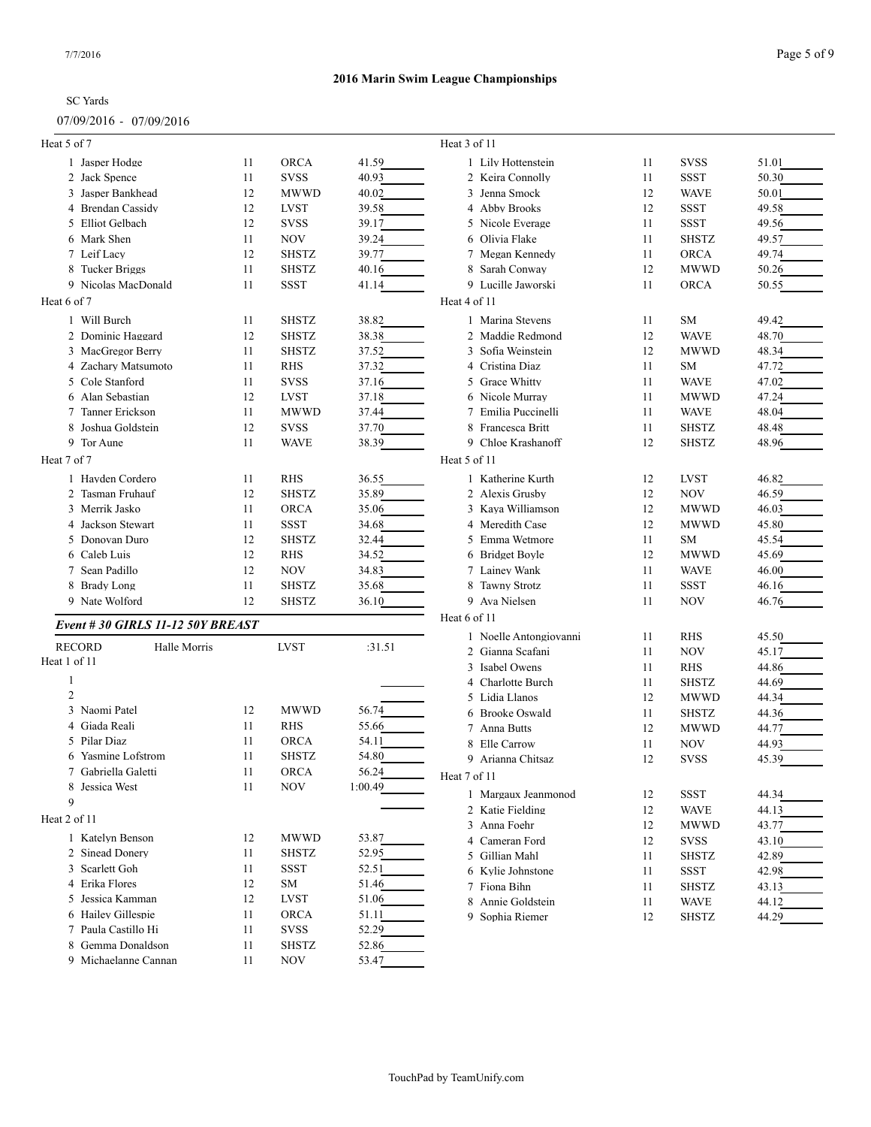## 07/09/2016 - 07/09/2016

| Heat 5 of 7                      |          |              |                | Heat 3 of 11                  |          |              |                |
|----------------------------------|----------|--------------|----------------|-------------------------------|----------|--------------|----------------|
| 1 Jasper Hodge                   | 11       | <b>ORCA</b>  | 41.59          | 1 Lily Hottenstein            | 11       | <b>SVSS</b>  | 51.01          |
| 2 Jack Spence                    | 11       | <b>SVSS</b>  | 40.93          | 2 Keira Connolly              | 11       | <b>SSST</b>  | 50.30          |
| 3 Jasper Bankhead                | 12       | <b>MWWD</b>  | 40.02          | 3 Jenna Smock                 | 12       | <b>WAVE</b>  | 50.01          |
| 4 Brendan Cassidy                | 12       | <b>LVST</b>  | 39.58          | 4 Abby Brooks                 | 12       | SSST         | 49.58          |
| 5 Elliot Gelbach                 | 12       | <b>SVSS</b>  | 39.17          | 5 Nicole Everage              | 11       | <b>SSST</b>  | 49.56          |
| 6 Mark Shen                      | 11       | <b>NOV</b>   | 39.24          | 6 Olivia Flake                | 11       | <b>SHSTZ</b> | 49.57          |
| 7 Leif Lacy                      | 12       | <b>SHSTZ</b> | 39.77          | 7 Megan Kennedy               | 11       | <b>ORCA</b>  | 49.74          |
| 8 Tucker Briggs                  | 11       | <b>SHSTZ</b> | 40.16          | 8 Sarah Conway                | 12       | <b>MWWD</b>  | 50.26          |
| 9 Nicolas MacDonald              | 11       | <b>SSST</b>  | 41.14          | 9 Lucille Jaworski            | 11       | <b>ORCA</b>  | 50.55          |
| Heat 6 of 7                      |          |              |                | Heat 4 of 11                  |          |              |                |
| 1 Will Burch                     | 11       | <b>SHSTZ</b> | 38.82          | 1 Marina Stevens              | 11       | SM           | 49.42          |
| 2 Dominic Haggard                | 12       | <b>SHSTZ</b> | 38.38          | 2 Maddie Redmond              | 12       | <b>WAVE</b>  | 48.70          |
| 3 MacGregor Berry                | 11       | <b>SHSTZ</b> | 37.52          | 3 Sofia Weinstein             | 12       | <b>MWWD</b>  | 48.34          |
| 4 Zachary Matsumoto              | 11       | <b>RHS</b>   | 37.32          | 4 Cristina Diaz               | 11       | SM           | 47.72          |
| 5 Cole Stanford                  | 11       | <b>SVSS</b>  | 37.16          | 5 Grace Whitty                | 11       | <b>WAVE</b>  | 47.02          |
| 6 Alan Sebastian                 | 12       | <b>LVST</b>  | 37.18          | 6 Nicole Murray               | 11       | <b>MWWD</b>  | 47.24          |
| 7 Tanner Erickson                | 11       | <b>MWWD</b>  | 37.44          | 7 Emilia Puccinelli           | 11       | <b>WAVE</b>  | 48.04          |
| 8 Joshua Goldstein               | 12       | <b>SVSS</b>  | 37.70          | 8 Francesca Britt             | 11       | <b>SHSTZ</b> | 48.48          |
| 9 Tor Aune                       | 11       | <b>WAVE</b>  | 38.39          | 9 Chloe Krashanoff            | 12       | <b>SHSTZ</b> | 48.96          |
| Heat 7 of 7                      |          |              |                | Heat 5 of 11                  |          |              |                |
| 1 Havden Cordero                 | 11       | <b>RHS</b>   | 36.55          | 1 Katherine Kurth             | 12       | <b>LVST</b>  | 46.82          |
| 2 Tasman Fruhauf                 | 12       | <b>SHSTZ</b> | 35.89          | 2 Alexis Grusby               | 12       | NOV          | 46.59          |
| 3 Merrik Jasko                   | 11       | ORCA         | 35.06          | 3 Kaya Williamson             | 12       | <b>MWWD</b>  | 46.03          |
| 4 Jackson Stewart                | 11       |              |                | 4 Meredith Case               | 12       | <b>MWWD</b>  |                |
|                                  |          | SSST         | 34.68          | 5 Emma Wetmore                |          |              | 45.80          |
| 5 Donovan Duro<br>6 Caleb Luis   | 12<br>12 | <b>SHSTZ</b> | 32.44<br>34.52 |                               | 11<br>12 | <b>SM</b>    | 45.54<br>45.69 |
| 7 Sean Padillo                   | 12       | <b>RHS</b>   |                | 6 Bridget Boyle               | 11       | MWWD         |                |
|                                  |          | <b>NOV</b>   | 34.83          | 7 Lainey Wank                 |          | <b>WAVE</b>  | 46.00          |
| 8 Brady Long                     | 11       | <b>SHSTZ</b> | 35.68          | 8 Tawny Strotz                | 11       | <b>SSST</b>  | 46.16          |
| 9 Nate Wolford                   | 12       | <b>SHSTZ</b> | 36.10          | 9 Ava Nielsen<br>Heat 6 of 11 | 11       | NOV          | 46.76          |
| Event #30 GIRLS 11-12 50Y BREAST |          |              |                |                               |          |              |                |
| <b>RECORD</b><br>Halle Morris    |          | <b>LVST</b>  | :31.51         | 1 Noelle Antongiovanni        | 11       | <b>RHS</b>   | 45.50          |
| Heat 1 of 11                     |          |              |                | 2 Gianna Scafani              | 11       | <b>NOV</b>   | 45.17          |
|                                  |          |              |                | 3 Isabel Owens                | 11       | <b>RHS</b>   | 44.86          |
| $\overline{2}$                   |          |              |                | 4 Charlotte Burch             | 11       | <b>SHSTZ</b> | 44.69          |
| 3 Naomi Patel                    | 12       | <b>MWWD</b>  | 56.74          | 5 Lidia Llanos                | 12       | <b>MWWD</b>  | 44.34          |
| Giada Reali<br>4                 | 11       | <b>RHS</b>   | 55.66          | 6 Brooke Oswald               | 11       | <b>SHSTZ</b> | 44.36          |
| 5 Pilar Diaz                     | 11       | <b>ORCA</b>  | 54.11          | 7 Anna Butts                  | 12       | <b>MWWD</b>  | 44.77          |
| 6 Yasmine Lofstrom               | 11       | <b>SHSTZ</b> | 54.80          | 8 Elle Carrow                 | 11       | NOV          | 44.93          |
|                                  |          | ORCA         | 56.24          | 9 Arianna Chitsaz             | 12       | <b>SVSS</b>  | 45.39          |
| 7 Gabriella Galetti              | 11       | <b>NOV</b>   |                | Heat 7 of 11                  |          |              |                |
| 8 Jessica West<br>9              | 11       |              | 1:00.49        | 1 Margaux Jeanmonod           | 12       | <b>SSST</b>  | 44.34          |
|                                  |          |              |                | 2 Katie Fielding              | 12       | <b>WAVE</b>  | 44.13          |
| Heat 2 of 11                     |          |              |                | 3 Anna Foehr                  | 12       | MWWD         | 43.77          |
| 1 Katelyn Benson                 | 12       | <b>MWWD</b>  | 53.87          | 4 Cameran Ford                | 12       | <b>SVSS</b>  | 43.10          |
| 2 Sinead Donery                  | 11       | SHSTZ        | 52.95          | 5 Gillian Mahl                | 11       | <b>SHSTZ</b> | 42.89          |
| 3 Scarlett Goh                   | 11       | SSST         | 52.51          | 6 Kylie Johnstone             | 11       | <b>SSST</b>  | 42.98          |
| 4 Erika Flores                   | 12       | SM           | 51.46          | 7 Fiona Bihn                  | 11       | <b>SHSTZ</b> | 43.13          |
| 5 Jessica Kamman                 | 12       | LVST         | 51.06          | 8 Annie Goldstein             | 11       | <b>WAVE</b>  | 44.12          |
| 6 Hailey Gillespie               | 11       | <b>ORCA</b>  | 51.11          | 9 Sophia Riemer               | 12       | <b>SHSTZ</b> | 44.29          |
| 7 Paula Castillo Hi              | 11       | <b>SVSS</b>  | 52.29          |                               |          |              |                |
| 8 Gemma Donaldson                | 11       | SHSTZ        | 52.86          |                               |          |              |                |
| 9 Michaelanne Cannan             | 11       | NOV          | 53.47          |                               |          |              |                |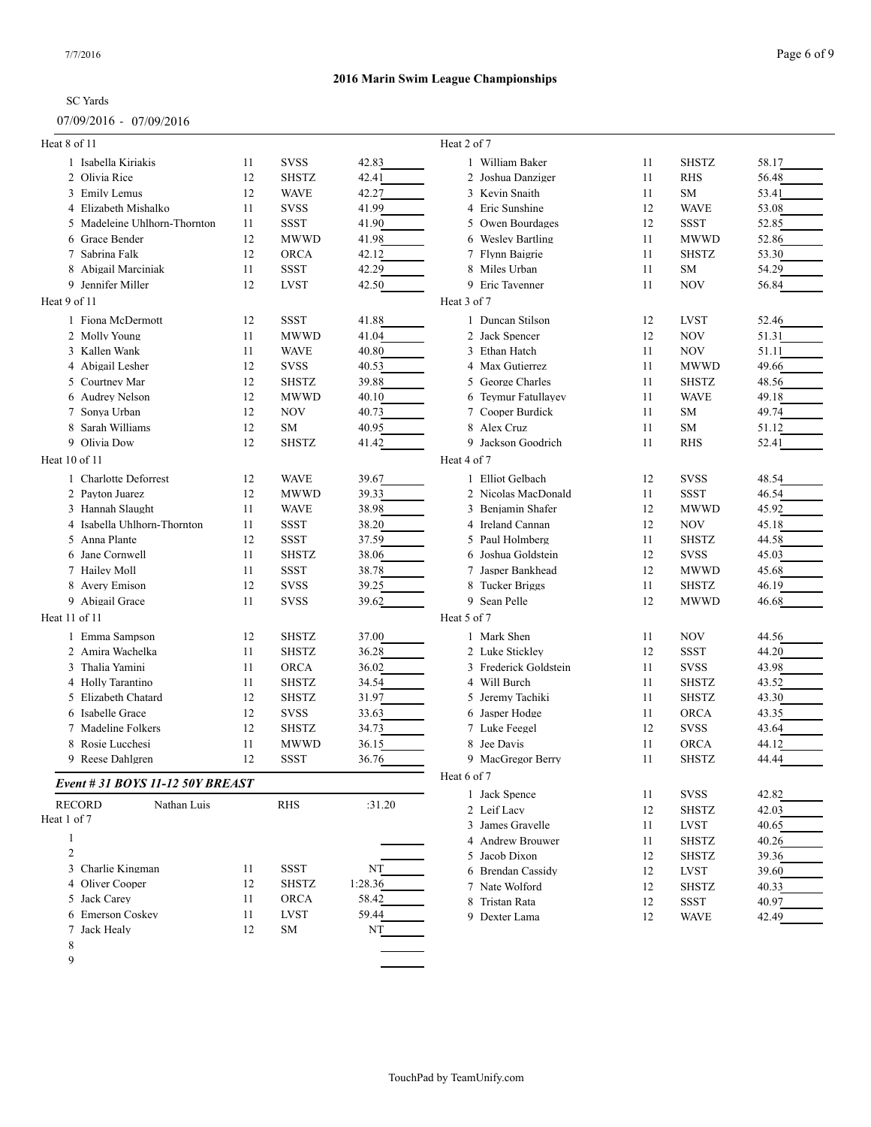## 07/09/2016 - 07/09/2016

| Heat 8 of 11                     |    |              |         | Heat 2 of 7           |    |              |       |
|----------------------------------|----|--------------|---------|-----------------------|----|--------------|-------|
| 1 Isabella Kiriakis              | 11 | <b>SVSS</b>  | 42.83   | 1 William Baker       | 11 | <b>SHSTZ</b> | 58.17 |
| 2 Olivia Rice                    | 12 | <b>SHSTZ</b> | 42.41   | 2 Joshua Danziger     | 11 | <b>RHS</b>   | 56.48 |
| 3 Emily Lemus                    | 12 | <b>WAVE</b>  | 42.27   | 3 Kevin Snaith        | 11 | <b>SM</b>    | 53.41 |
| 4 Elizabeth Mishalko             | 11 | <b>SVSS</b>  | 41.99   | 4 Eric Sunshine       | 12 | <b>WAVE</b>  | 53.08 |
| 5 Madeleine Uhlhorn-Thornton     | 11 | <b>SSST</b>  | 41.90   | 5 Owen Bourdages      | 12 | <b>SSST</b>  | 52.85 |
| 6 Grace Bender                   | 12 | <b>MWWD</b>  | 41.98   | 6 Wesley Bartling     | 11 | <b>MWWD</b>  | 52.86 |
| 7 Sabrina Falk                   | 12 | <b>ORCA</b>  | 42.12   | 7 Flynn Baigrie       | 11 | <b>SHSTZ</b> | 53.30 |
| 8 Abigail Marciniak              | 11 | <b>SSST</b>  | 42.29   | 8 Miles Urban         | 11 | <b>SM</b>    | 54.29 |
| 9 Jennifer Miller                | 12 | <b>LVST</b>  | 42.50   | 9 Eric Tavenner       | 11 | NOV          | 56.84 |
| Heat 9 of 11                     |    |              |         | Heat 3 of 7           |    |              |       |
| 1 Fiona McDermott                | 12 | <b>SSST</b>  | 41.88   | 1 Duncan Stilson      | 12 | <b>LVST</b>  | 52.46 |
| 2 Molly Young                    | 11 | <b>MWWD</b>  | 41.04   | 2 Jack Spencer        | 12 | NOV          | 51.31 |
| 3 Kallen Wank                    | 11 | <b>WAVE</b>  | 40.80   | 3 Ethan Hatch         | 11 | NOV          | 51.11 |
| 4 Abigail Lesher                 | 12 | <b>SVSS</b>  | 40.53   | 4 Max Gutierrez       | 11 | <b>MWWD</b>  | 49.66 |
| 5 Courtney Mar                   | 12 | <b>SHSTZ</b> | 39.88   | 5 George Charles      | 11 | <b>SHSTZ</b> | 48.56 |
| 6 Audrey Nelson                  | 12 | <b>MWWD</b>  | 40.10   | 6 Teymur Fatullayev   | 11 | <b>WAVE</b>  | 49.18 |
| 7 Sonva Urban                    | 12 | <b>NOV</b>   | 40.73   | 7 Cooper Burdick      | 11 | <b>SM</b>    | 49.74 |
| 8 Sarah Williams                 | 12 | <b>SM</b>    | 40.95   | 8 Alex Cruz           | 11 | <b>SM</b>    | 51.12 |
| 9 Olivia Dow                     | 12 | <b>SHSTZ</b> | 41.42   | 9 Jackson Goodrich    | 11 | <b>RHS</b>   | 52.41 |
| Heat 10 of 11                    |    |              |         | Heat 4 of 7           |    |              |       |
| 1 Charlotte Deforrest            | 12 | <b>WAVE</b>  | 39.67   | 1 Elliot Gelbach      | 12 | <b>SVSS</b>  | 48.54 |
| 2 Payton Juarez                  | 12 | <b>MWWD</b>  | 39.33   | 2 Nicolas MacDonald   | 11 | <b>SSST</b>  | 46.54 |
| 3 Hannah Slaught                 | 11 | <b>WAVE</b>  | 38.98   | 3 Benjamin Shafer     | 12 | <b>MWWD</b>  | 45.92 |
| 4 Isabella Uhlhorn-Thornton      | 11 | <b>SSST</b>  | 38.20   | 4 Ireland Cannan      | 12 | NOV          | 45.18 |
| 5 Anna Plante                    | 12 | <b>SSST</b>  | 37.59   | 5 Paul Holmberg       | 11 | <b>SHSTZ</b> | 44.58 |
| 6 Jane Cornwell                  | 11 | <b>SHSTZ</b> | 38.06   | Joshua Goldstein<br>6 | 12 | <b>SVSS</b>  | 45.03 |
| 7 Hailey Moll                    | 11 | <b>SSST</b>  | 38.78   | 7 Jasper Bankhead     | 12 | <b>MWWD</b>  | 45.68 |
| 8 Avery Emison                   | 12 | <b>SVSS</b>  | 39.25   | 8 Tucker Briggs       | 11 | <b>SHSTZ</b> | 46.19 |
| 9 Abigail Grace                  | 11 | <b>SVSS</b>  | 39.62   | 9 Sean Pelle          | 12 | <b>MWWD</b>  | 46.68 |
| Heat 11 of 11                    |    |              |         | Heat 5 of 7           |    |              |       |
| 1 Emma Sampson                   | 12 | <b>SHSTZ</b> | 37.00   | 1 Mark Shen           | 11 | NOV          | 44.56 |
| 2 Amira Wachelka                 | 11 | <b>SHSTZ</b> | 36.28   | 2 Luke Sticklev       | 12 | <b>SSST</b>  | 44.20 |
| 3 Thalia Yamini                  | 11 | <b>ORCA</b>  | 36.02   | 3 Frederick Goldstein | 11 | <b>SVSS</b>  | 43.98 |
| 4 Holly Tarantino                | 11 | <b>SHSTZ</b> | 34.54   | 4 Will Burch          | 11 | <b>SHSTZ</b> | 43.52 |
| 5 Elizabeth Chatard              | 12 | <b>SHSTZ</b> | 31.97   | 5 Jeremy Tachiki      | 11 | <b>SHSTZ</b> | 43.30 |
| 6 Isabelle Grace                 | 12 | <b>SVSS</b>  | 33.63   | 6 Jasper Hodge        | 11 | <b>ORCA</b>  | 43.35 |
| 7 Madeline Folkers               | 12 | <b>SHSTZ</b> | 34.73   | 7 Luke Feegel         | 12 | <b>SVSS</b>  | 43.64 |
| 8 Rosie Lucchesi                 | 11 | <b>MWWD</b>  | 36.15   | 8 Jee Davis           | 11 | <b>ORCA</b>  | 44.12 |
| 9 Reese Dahlgren                 | 12 | <b>SSST</b>  | 36.76   | 9 MacGregor Berry     | 11 | <b>SHSTZ</b> | 44.44 |
| Event # 31 BOYS 11-12 50Y BREAST |    |              |         | Heat 6 of 7           |    |              |       |
|                                  |    |              |         | 1 Jack Spence         | 11 | <b>SVSS</b>  | 42.82 |
| Nathan Luis<br><b>RECORD</b>     |    | RHS          | :31.20  | 2 Leif Lacy           | 12 | <b>SHSTZ</b> | 42.03 |
| Heat 1 of 7                      |    |              |         | 3 James Gravelle      | 11 | <b>LVST</b>  | 40.65 |
| $\mathbf{1}$                     |    |              |         | 4 Andrew Brouwer      | 11 | <b>SHSTZ</b> | 40.26 |
| $\mathfrak{2}$                   |    |              |         | 5 Jacob Dixon         | 12 | <b>SHSTZ</b> | 39.36 |
| 3 Charlie Kingman                | 11 | SSST         | NT      | 6 Brendan Cassidy     | 12 | <b>LVST</b>  | 39.60 |
| 4 Oliver Cooper                  | 12 | <b>SHSTZ</b> | 1:28.36 | 7 Nate Wolford        | 12 | <b>SHSTZ</b> | 40.33 |
| 5 Jack Carey                     | 11 | ORCA         | 58.42   | 8 Tristan Rata        | 12 | <b>SSST</b>  | 40.97 |
| 6 Emerson Coskey                 | 11 | <b>LVST</b>  | 59.44   | 9 Dexter Lama         | 12 | <b>WAVE</b>  | 42.49 |
| 7 Jack Healy                     | 12 | ${\rm SM}$   | NT      |                       |    |              |       |
| 8                                |    |              |         |                       |    |              |       |
| 9                                |    |              |         |                       |    |              |       |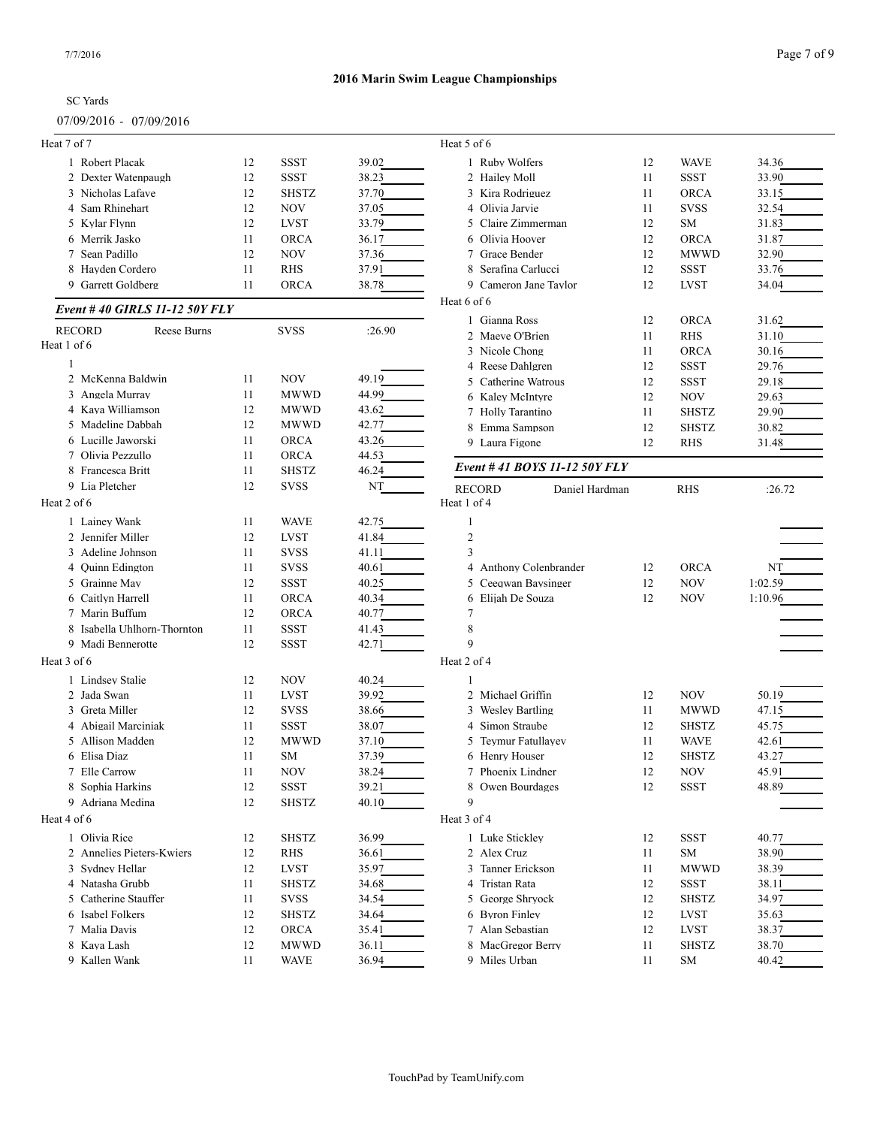## SC Yards 07/09/2016 - 07/09/2016

| Heat 7 of 7                   |    |              |        | Heat 5 of 6                                    |    |              |         |
|-------------------------------|----|--------------|--------|------------------------------------------------|----|--------------|---------|
| 1 Robert Placak               | 12 | <b>SSST</b>  | 39.02  | 1 Ruby Wolfers                                 | 12 | <b>WAVE</b>  | 34.36   |
| 2 Dexter Watenpaugh           | 12 | <b>SSST</b>  | 38.23  | 2 Hailey Moll                                  | 11 | <b>SSST</b>  | 33.90   |
| 3 Nicholas Lafave             | 12 | <b>SHSTZ</b> | 37.70  | 3 Kira Rodriguez                               | 11 | <b>ORCA</b>  | 33.15   |
| 4 Sam Rhinehart               | 12 | <b>NOV</b>   | 37.05  | 4 Olivia Jarvie                                | 11 | <b>SVSS</b>  | 32.54   |
| 5 Kylar Flynn                 | 12 | <b>LVST</b>  | 33.79  | 5 Claire Zimmerman                             | 12 | SM           | 31.83   |
| 6 Merrik Jasko                | 11 | ORCA         | 36.17  | 6 Olivia Hoover                                | 12 | ORCA         | 31.87   |
| 7 Sean Padillo                | 12 | <b>NOV</b>   | 37.36  | 7 Grace Bender                                 | 12 | <b>MWWD</b>  | 32.90   |
| 8 Hayden Cordero              | 11 | <b>RHS</b>   | 37.91  | 8 Serafina Carlucci                            | 12 | <b>SSST</b>  | 33.76   |
| 9 Garrett Goldberg            | 11 | <b>ORCA</b>  | 38.78  | 9 Cameron Jane Taylor                          | 12 | <b>LVST</b>  | 34.04   |
|                               |    |              |        | Heat 6 of 6                                    |    |              |         |
| Event #40 GIRLS 11-12 50Y FLY |    |              |        | 1 Gianna Ross                                  | 12 | <b>ORCA</b>  | 31.62   |
| <b>RECORD</b><br>Reese Burns  |    | <b>SVSS</b>  | :26.90 | 2 Maeve O'Brien                                | 11 | <b>RHS</b>   | 31.10   |
| Heat 1 of 6                   |    |              |        | 3 Nicole Chong                                 | 11 | <b>ORCA</b>  | 30.16   |
|                               |    |              |        | 4 Reese Dahlgren                               | 12 | <b>SSST</b>  | 29.76   |
| 2 McKenna Baldwin             | 11 | <b>NOV</b>   | 49.19  | 5 Catherine Watrous                            | 12 | <b>SSST</b>  | 29.18   |
| 3 Angela Murray               | 11 | <b>MWWD</b>  | 44.99  | 6 Kaley McIntyre                               | 12 | <b>NOV</b>   | 29.63   |
| 4 Kava Williamson             | 12 | <b>MWWD</b>  | 43.62  | 7 Holly Tarantino                              | 11 | <b>SHSTZ</b> | 29.90   |
| 5 Madeline Dabbah             | 12 | <b>MWWD</b>  | 42.77  | 8 Emma Sampson                                 | 12 | <b>SHSTZ</b> | 30.82   |
| 6 Lucille Jaworski            | 11 | <b>ORCA</b>  | 43.26  | 9 Laura Figone                                 | 12 | <b>RHS</b>   | 31.48   |
| 7 Olivia Pezzullo             | 11 | <b>ORCA</b>  | 44.53  |                                                |    |              |         |
| 8 Francesca Britt             | 11 | <b>SHSTZ</b> | 46.24  | Event # 41 BOYS 11-12 50Y FLY                  |    |              |         |
| 9 Lia Pletcher                | 12 | <b>SVSS</b>  | NT     |                                                |    |              |         |
| Heat 2 of 6                   |    |              |        | <b>RECORD</b><br>Daniel Hardman<br>Heat 1 of 4 |    | <b>RHS</b>   | :26.72  |
| 1 Lainey Wank                 | 11 | <b>WAVE</b>  | 42.75  |                                                |    |              |         |
| 2 Jennifer Miller             | 12 | <b>LVST</b>  | 41.84  | $\mathfrak{2}$                                 |    |              |         |
| 3 Adeline Johnson             | 11 | <b>SVSS</b>  | 41.11  | 3                                              |    |              |         |
| 4 Ouinn Edington              | 11 | <b>SVSS</b>  | 40.61  | 4 Anthony Colenbrander                         | 12 | <b>ORCA</b>  | NT      |
| 5 Grainne May                 | 12 | <b>SSST</b>  |        | 5 Ceeqwan Baysinger                            | 12 | <b>NOV</b>   |         |
|                               |    |              | 40.25  |                                                |    |              | 1:02.59 |
| 6 Caitlyn Harrell             | 11 | <b>ORCA</b>  | 40.34  | 6 Elijah De Souza                              | 12 | <b>NOV</b>   | 1:10.96 |
| 7 Marin Buffum                | 12 | <b>ORCA</b>  | 40.77  | 7                                              |    |              |         |
| 8 Isabella Uhlhorn-Thornton   | 11 | <b>SSST</b>  | 41.43  | 8                                              |    |              |         |
| 9 Madi Bennerotte             | 12 | <b>SSST</b>  | 42.71  | 9                                              |    |              |         |
| Heat 3 of 6                   |    |              |        | Heat 2 of 4                                    |    |              |         |
| 1 Lindsey Stalie              | 12 | <b>NOV</b>   | 40.24  | 1                                              |    |              |         |
| 2 Jada Swan                   | 11 | <b>LVST</b>  | 39.92  | 2 Michael Griffin                              | 12 | <b>NOV</b>   | 50.19   |
| 3 Greta Miller                | 12 | <b>SVSS</b>  | 38.66  | 3 Wesley Bartling                              | 11 | <b>MWWD</b>  | 47.15   |
| 4 Abigail Marciniak           | 11 | <b>SSST</b>  | 38.07  | 4 Simon Straube                                | 12 | <b>SHSTZ</b> | 45.75   |
| 5 Allison Madden              | 12 | <b>MWWD</b>  | 37.10  | 5 Teymur Fatullayev                            | 11 | <b>WAVE</b>  | 42.61   |
| 6 Elisa Diaz                  | 11 | SM           | 37.39  | 6 Henry Houser                                 | 12 | <b>SHSTZ</b> | 43.27   |
| 7 Elle Carrow                 | 11 | <b>NOV</b>   | 38.24  | 7 Phoenix Lindner                              | 12 | <b>NOV</b>   | 45.91   |
| 8 Sophia Harkins              | 12 | SSST         | 39.21  | 8 Owen Bourdages                               | 12 | <b>SSST</b>  | 48.89   |
| 9 Adriana Medina              | 12 | <b>SHSTZ</b> | 40.10  | 9                                              |    |              |         |
| Heat 4 of 6                   |    |              |        | Heat 3 of 4                                    |    |              |         |
| 1 Olivia Rice                 | 12 | <b>SHSTZ</b> | 36.99  | 1 Luke Stickley                                | 12 | SSST         | 40.77   |
| 2 Annelies Pieters-Kwiers     | 12 | RHS          | 36.61  | 2 Alex Cruz                                    | 11 | <b>SM</b>    | 38.90   |
| 3 Sydney Hellar               | 12 | LVST         | 35.97  | 3 Tanner Erickson                              | 11 | <b>MWWD</b>  | 38.39   |
| 4 Natasha Grubb               | 11 | <b>SHSTZ</b> | 34.68  | 4 Tristan Rata                                 | 12 | <b>SSST</b>  | 38.11   |
| 5 Catherine Stauffer          | 11 | ${\rm SVSS}$ | 34.54  | 5 George Shryock                               | 12 | <b>SHSTZ</b> | 34.97   |
| 6 Isabel Folkers              | 12 | <b>SHSTZ</b> | 34.64  | 6 Byron Finley                                 | 12 | <b>LVST</b>  | 35.63   |
| 7 Malia Davis                 | 12 | <b>ORCA</b>  | 35.41  | 7 Alan Sebastian                               | 12 | <b>LVST</b>  | 38.37   |
| 8 Kaya Lash                   | 12 | <b>MWWD</b>  | 36.11  | 8 MacGregor Berry                              | 11 | <b>SHSTZ</b> | 38.70   |
| 9 Kallen Wank                 | 11 | <b>WAVE</b>  | 36.94  | 9 Miles Urban                                  | 11 | SM           | 40.42   |
|                               |    |              |        |                                                |    |              |         |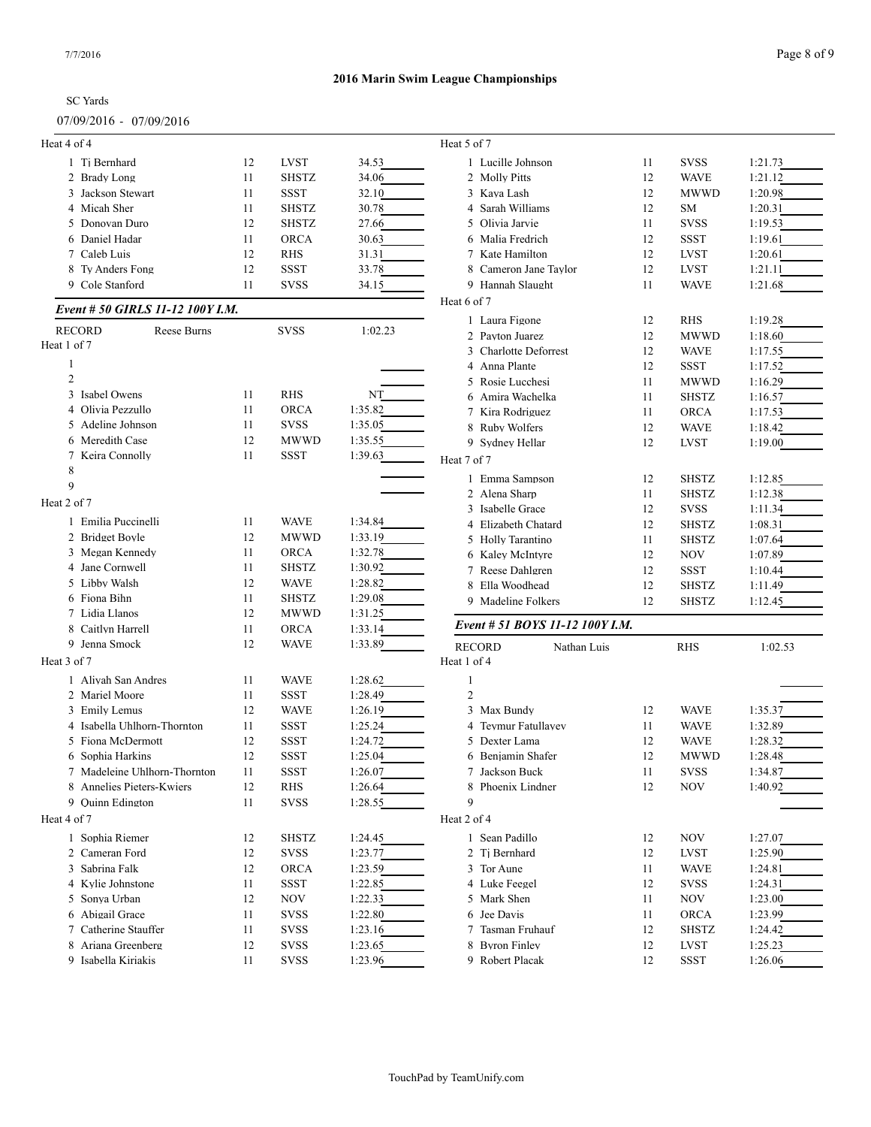# SC Yards 07/09/2016 - 07/09/2016

| Heat 4 of 4                      |    |              |         | Heat 5 of 7                                 |    |              |         |
|----------------------------------|----|--------------|---------|---------------------------------------------|----|--------------|---------|
| 1 Ti Bernhard                    | 12 | LVST         | 34.53   | 1 Lucille Johnson                           | 11 | <b>SVSS</b>  | 1:21.73 |
| 2 Brady Long                     | 11 | <b>SHSTZ</b> | 34.06   | 2 Molly Pitts                               | 12 | <b>WAVE</b>  | 1:21.12 |
| 3 Jackson Stewart                | 11 | <b>SSST</b>  | 32.10   | 3 Kaya Lash                                 | 12 | <b>MWWD</b>  | 1:20.98 |
| 4 Micah Sher                     | 11 | <b>SHSTZ</b> | 30.78   | 4 Sarah Williams                            | 12 | SM           | 1:20.31 |
| 5 Donovan Duro                   | 12 | <b>SHSTZ</b> | 27.66   | 5 Olivia Jarvie                             | 11 | <b>SVSS</b>  | 1:19.53 |
| 6 Daniel Hadar                   | 11 | <b>ORCA</b>  | 30.63   | 6 Malia Fredrich                            | 12 | <b>SSST</b>  | 1:19.61 |
| 7 Caleb Luis                     | 12 | RHS          | 31.31   | 7 Kate Hamilton                             | 12 | <b>LVST</b>  | 1:20.61 |
| 8 Ty Anders Fong                 | 12 | SSST         | 33.78   | 8 Cameron Jane Taylor                       | 12 | <b>LVST</b>  | 1:21.11 |
| 9 Cole Stanford                  | 11 | <b>SVSS</b>  | 34.15   | 9 Hannah Slaught                            | 11 | <b>WAVE</b>  | 1:21.68 |
|                                  |    |              |         | Heat 6 of 7                                 |    |              |         |
| Event # 50 GIRLS 11-12 100Y I.M. |    |              |         | 1 Laura Figone                              | 12 | RHS          | 1:19.28 |
| Reese Burns<br><b>RECORD</b>     |    | <b>SVSS</b>  | 1:02.23 | 2 Payton Juarez                             | 12 | <b>MWWD</b>  | 1:18.60 |
| Heat 1 of 7                      |    |              |         | 3 Charlotte Deforrest                       | 12 | <b>WAVE</b>  | 1:17.55 |
| 1                                |    |              |         | 4 Anna Plante                               | 12 | <b>SSST</b>  | 1:17.52 |
| $\overline{2}$                   |    |              |         | 5 Rosie Lucchesi                            | 11 | <b>MWWD</b>  | 1:16.29 |
| 3 Isabel Owens                   | 11 | <b>RHS</b>   | NT      | 6 Amira Wachelka                            | 11 | <b>SHSTZ</b> | 1:16.57 |
| 4 Olivia Pezzullo                | 11 | <b>ORCA</b>  | 1:35.82 | 7 Kira Rodriguez                            | 11 | <b>ORCA</b>  | 1:17.53 |
| 5 Adeline Johnson                | 11 | <b>SVSS</b>  | 1:35.05 | 8 Ruby Wolfers                              | 12 | <b>WAVE</b>  | 1:18.42 |
| 6 Meredith Case                  | 12 | <b>MWWD</b>  | 1:35.55 | 9 Sydney Hellar                             | 12 | <b>LVST</b>  | 1:19.00 |
| 7 Keira Connolly                 | 11 | <b>SSST</b>  | 1:39.63 | Heat 7 of 7                                 |    |              |         |
| 8                                |    |              |         | 1 Emma Sampson                              | 12 | <b>SHSTZ</b> | 1:12.85 |
| 9                                |    |              |         | 2 Alena Sharp                               | 11 | <b>SHSTZ</b> | 1:12.38 |
| Heat 2 of 7                      |    |              |         | 3 Isabelle Grace                            | 12 | <b>SVSS</b>  | 1:11.34 |
| 1 Emilia Puccinelli              | 11 | <b>WAVE</b>  | 1:34.84 | 4 Elizabeth Chatard                         | 12 | <b>SHSTZ</b> | 1:08.31 |
| 2 Bridget Boyle                  | 12 | <b>MWWD</b>  | 1:33.19 | 5 Holly Tarantino                           | 11 | <b>SHSTZ</b> |         |
| 3 Megan Kennedy                  | 11 | <b>ORCA</b>  | 1:32.78 |                                             | 12 |              | 1:07.64 |
| 4 Jane Cornwell                  | 11 | <b>SHSTZ</b> | 1:30.92 | 6 Kaley McIntyre                            |    | <b>NOV</b>   | 1:07.89 |
| 5 Libby Walsh                    | 12 | <b>WAVE</b>  | 1:28.82 | 7 Reese Dahlgren                            | 12 | <b>SSST</b>  | 1:10.44 |
| 6 Fiona Bihn                     | 11 | <b>SHSTZ</b> | 1:29.08 | 8 Ella Woodhead                             | 12 | <b>SHSTZ</b> | 1:11.49 |
| 7 Lidia Llanos                   | 12 | <b>MWWD</b>  | 1:31.25 | 9 Madeline Folkers                          | 12 | <b>SHSTZ</b> | 1:12.45 |
| 8 Caitlyn Harrell                | 11 |              |         | Event # 51 BOYS 11-12 100Y I.M.             |    |              |         |
|                                  |    | <b>ORCA</b>  | 1:33.14 |                                             |    |              |         |
| 9 Jenna Smock<br>Heat 3 of 7     | 12 | <b>WAVE</b>  | 1:33.89 | <b>RECORD</b><br>Nathan Luis<br>Heat 1 of 4 |    | <b>RHS</b>   | 1:02.53 |
|                                  |    |              |         |                                             |    |              |         |
| 1 Aliyah San Andres              | 11 | <b>WAVE</b>  | 1:28.62 | 1                                           |    |              |         |
| 2 Mariel Moore                   | 11 | SSST         | 1:28.49 | 2                                           |    |              |         |
| 3 Emily Lemus                    | 12 | <b>WAVE</b>  | 1:26.19 | 3 Max Bundy                                 | 12 | <b>WAVE</b>  | 1:35.37 |
| 4 Isabella Uhlhorn-Thornton      | 11 | SSST         | 1:25.24 | 4 Teymur Fatullayev                         | 11 | <b>WAVE</b>  | 1:32.89 |
| 5 Fiona McDermott                | 12 | SSST         | 1:24.72 | 5 Dexter Lama                               | 12 | <b>WAVE</b>  | 1:28.32 |
| 6 Sophia Harkins                 | 12 | <b>SSST</b>  | 1:25.04 | 6 Benjamin Shafer                           | 12 | <b>MWWD</b>  | 1:28.48 |
| 7 Madeleine Uhlhorn-Thornton     | 11 | SSST         | 1:26.07 | 7 Jackson Buck                              | 11 | <b>SVSS</b>  | 1:34.87 |
| 8 Annelies Pieters-Kwiers        | 12 | <b>RHS</b>   | 1:26.64 | 8 Phoenix Lindner                           | 12 | <b>NOV</b>   | 1:40.92 |
| 9 Ouinn Edington                 | 11 | <b>SVSS</b>  | 1:28.55 | 9                                           |    |              |         |
| Heat 4 of 7                      |    |              |         | Heat 2 of 4                                 |    |              |         |
| 1 Sophia Riemer                  | 12 | <b>SHSTZ</b> | 1:24.45 | 1 Sean Padillo                              | 12 | NOV          | 1:27.07 |
| 2 Cameran Ford                   | 12 | <b>SVSS</b>  | 1:23.77 | 2 Tj Bernhard                               | 12 | <b>LVST</b>  | 1:25.90 |
| 3 Sabrina Falk                   | 12 | <b>ORCA</b>  | 1:23.59 | 3 Tor Aune                                  | 11 | <b>WAVE</b>  | 1:24.81 |
| 4 Kylie Johnstone                | 11 | SSST         | 1:22.85 | 4 Luke Feegel                               | 12 | <b>SVSS</b>  | 1:24.31 |
| 5 Sonya Urban                    | 12 | <b>NOV</b>   | 1:22.33 | 5 Mark Shen                                 | 11 | <b>NOV</b>   | 1:23.00 |
| 6 Abigail Grace                  | 11 | <b>SVSS</b>  | 1:22.80 | 6 Jee Davis                                 | 11 | <b>ORCA</b>  | 1:23.99 |
| 7 Catherine Stauffer             | 11 | <b>SVSS</b>  | 1:23.16 | 7 Tasman Fruhauf                            | 12 | <b>SHSTZ</b> | 1:24.42 |
| 8 Ariana Greenberg               | 12 | <b>SVSS</b>  | 1:23.65 | 8 Byron Finley                              | 12 | <b>LVST</b>  | 1:25.23 |
| 9 Isabella Kiriakis              | 11 | <b>SVSS</b>  | 1:23.96 | 9 Robert Placak                             | 12 | <b>SSST</b>  | 1:26.06 |
|                                  |    |              |         |                                             |    |              |         |